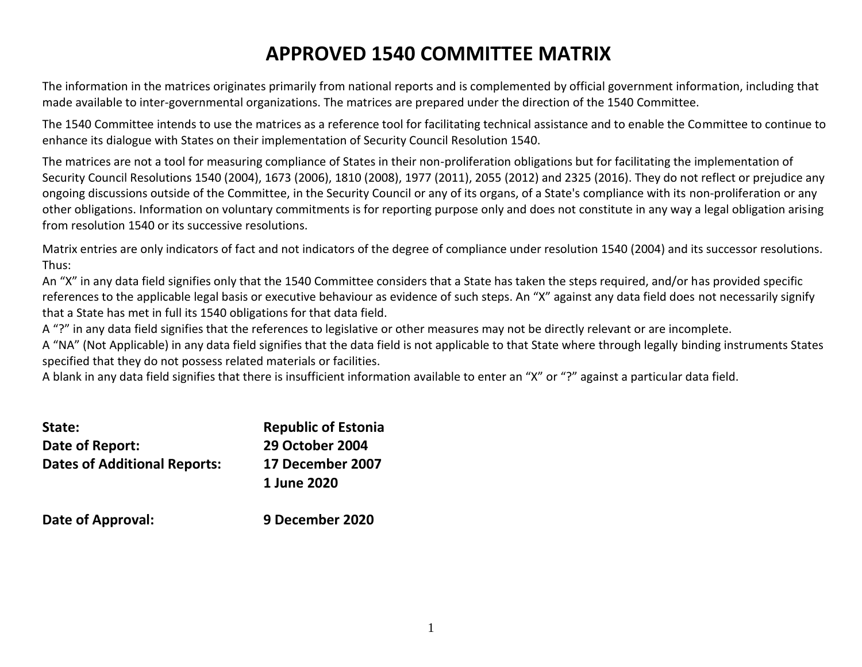# **APPROVED 1540 COMMITTEE MATRIX**

The information in the matrices originates primarily from national reports and is complemented by official government information, including that made available to inter-governmental organizations. The matrices are prepared under the direction of the 1540 Committee.

The 1540 Committee intends to use the matrices as a reference tool for facilitating technical assistance and to enable the Committee to continue to enhance its dialogue with States on their implementation of Security Council Resolution 1540.

The matrices are not a tool for measuring compliance of States in their non-proliferation obligations but for facilitating the implementation of Security Council Resolutions 1540 (2004), 1673 (2006), 1810 (2008), 1977 (2011), 2055 (2012) and 2325 (2016). They do not reflect or prejudice any ongoing discussions outside of the Committee, in the Security Council or any of its organs, of a State's compliance with its non-proliferation or any other obligations. Information on voluntary commitments is for reporting purpose only and does not constitute in any way a legal obligation arising from resolution 1540 or its successive resolutions.

Matrix entries are only indicators of fact and not indicators of the degree of compliance under resolution 1540 (2004) and its successor resolutions. Thus:

An "X" in any data field signifies only that the 1540 Committee considers that a State has taken the steps required, and/or has provided specific references to the applicable legal basis or executive behaviour as evidence of such steps. An "X" against any data field does not necessarily signify that a State has met in full its 1540 obligations for that data field.

A "?" in any data field signifies that the references to legislative or other measures may not be directly relevant or are incomplete.

A "NA" (Not Applicable) in any data field signifies that the data field is not applicable to that State where through legally binding instruments States specified that they do not possess related materials or facilities.

A blank in any data field signifies that there is insufficient information available to enter an "X" or "?" against a particular data field.

| State:                              | <b>Republic of Estonia</b> |
|-------------------------------------|----------------------------|
| Date of Report:                     | <b>29 October 2004</b>     |
| <b>Dates of Additional Reports:</b> | 17 December 2007           |
|                                     | 1 June 2020                |
|                                     |                            |

**Date of Approval: 9 December 2020**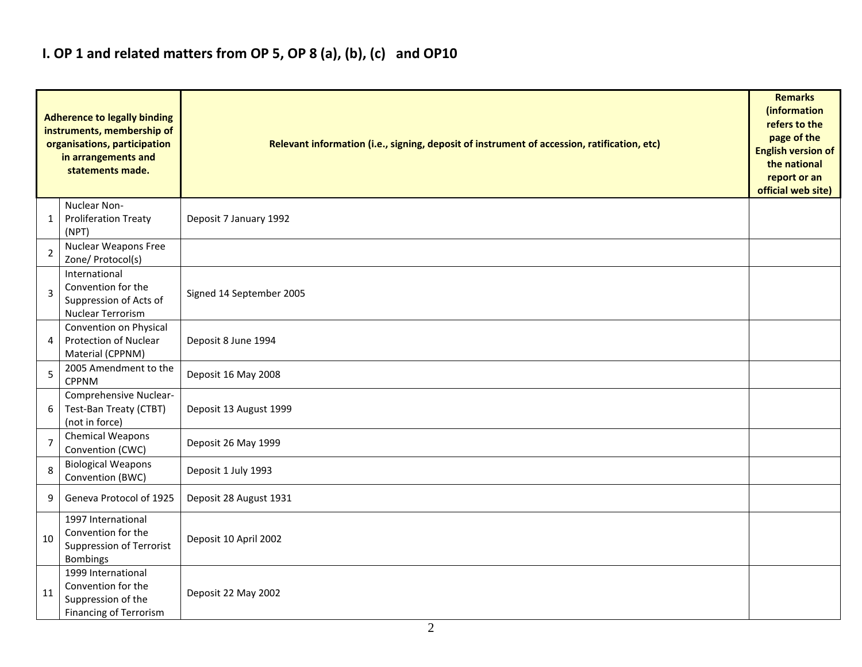## **I. OP 1 and related matters from OP 5, OP 8 (a), (b), (c) and OP10**

|                | <b>Adherence to legally binding</b><br>instruments, membership of<br>organisations, participation<br>in arrangements and<br>statements made. | Relevant information (i.e., signing, deposit of instrument of accession, ratification, etc) |  |  |  |  |  |  |  |  |
|----------------|----------------------------------------------------------------------------------------------------------------------------------------------|---------------------------------------------------------------------------------------------|--|--|--|--|--|--|--|--|
| 1              | Nuclear Non-<br><b>Proliferation Treaty</b><br>(NPT)                                                                                         | Deposit 7 January 1992                                                                      |  |  |  |  |  |  |  |  |
| $\overline{2}$ | Nuclear Weapons Free<br>Zone/ Protocol(s)                                                                                                    |                                                                                             |  |  |  |  |  |  |  |  |
| 3              | International<br>Convention for the<br>Suppression of Acts of<br>Nuclear Terrorism                                                           | Signed 14 September 2005                                                                    |  |  |  |  |  |  |  |  |
| 4              | Convention on Physical<br><b>Protection of Nuclear</b><br>Material (CPPNM)                                                                   | Deposit 8 June 1994                                                                         |  |  |  |  |  |  |  |  |
| 5              | 2005 Amendment to the<br><b>CPPNM</b>                                                                                                        | Deposit 16 May 2008                                                                         |  |  |  |  |  |  |  |  |
| 6              | Comprehensive Nuclear-<br>Test-Ban Treaty (CTBT)<br>(not in force)                                                                           | Deposit 13 August 1999                                                                      |  |  |  |  |  |  |  |  |
| $\overline{7}$ | Chemical Weapons<br>Convention (CWC)                                                                                                         | Deposit 26 May 1999                                                                         |  |  |  |  |  |  |  |  |
| 8              | <b>Biological Weapons</b><br>Convention (BWC)                                                                                                | Deposit 1 July 1993                                                                         |  |  |  |  |  |  |  |  |
| 9              | Geneva Protocol of 1925                                                                                                                      | Deposit 28 August 1931                                                                      |  |  |  |  |  |  |  |  |
| 10             | 1997 International<br>Convention for the<br>Suppression of Terrorist<br><b>Bombings</b>                                                      | Deposit 10 April 2002                                                                       |  |  |  |  |  |  |  |  |
| 11             | 1999 International<br>Convention for the<br>Suppression of the<br><b>Financing of Terrorism</b>                                              | Deposit 22 May 2002                                                                         |  |  |  |  |  |  |  |  |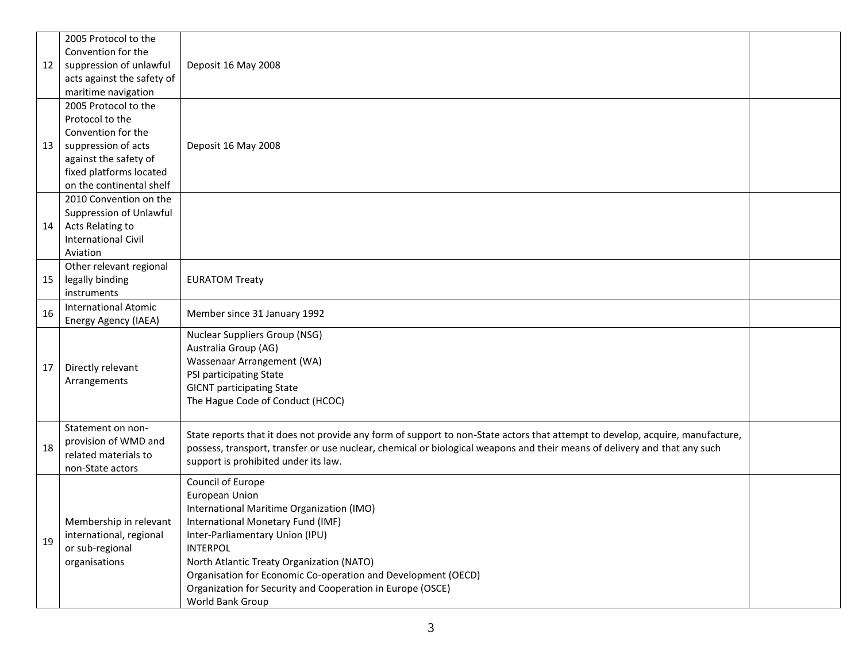|    | 2005 Protocol to the       |                                                                                                                               |  |  |  |  |  |  |  |  |
|----|----------------------------|-------------------------------------------------------------------------------------------------------------------------------|--|--|--|--|--|--|--|--|
|    | Convention for the         |                                                                                                                               |  |  |  |  |  |  |  |  |
| 12 | suppression of unlawful    | Deposit 16 May 2008                                                                                                           |  |  |  |  |  |  |  |  |
|    | acts against the safety of |                                                                                                                               |  |  |  |  |  |  |  |  |
|    | maritime navigation        |                                                                                                                               |  |  |  |  |  |  |  |  |
|    | 2005 Protocol to the       |                                                                                                                               |  |  |  |  |  |  |  |  |
|    | Protocol to the            |                                                                                                                               |  |  |  |  |  |  |  |  |
|    | Convention for the         |                                                                                                                               |  |  |  |  |  |  |  |  |
| 13 | suppression of acts        | Deposit 16 May 2008                                                                                                           |  |  |  |  |  |  |  |  |
|    | against the safety of      |                                                                                                                               |  |  |  |  |  |  |  |  |
|    | fixed platforms located    |                                                                                                                               |  |  |  |  |  |  |  |  |
|    | on the continental shelf   |                                                                                                                               |  |  |  |  |  |  |  |  |
|    | 2010 Convention on the     |                                                                                                                               |  |  |  |  |  |  |  |  |
|    | Suppression of Unlawful    |                                                                                                                               |  |  |  |  |  |  |  |  |
| 14 | Acts Relating to           |                                                                                                                               |  |  |  |  |  |  |  |  |
|    | <b>International Civil</b> |                                                                                                                               |  |  |  |  |  |  |  |  |
|    | Aviation                   |                                                                                                                               |  |  |  |  |  |  |  |  |
|    | Other relevant regional    |                                                                                                                               |  |  |  |  |  |  |  |  |
| 15 | legally binding            | <b>EURATOM Treaty</b>                                                                                                         |  |  |  |  |  |  |  |  |
|    | instruments                |                                                                                                                               |  |  |  |  |  |  |  |  |
| 16 | International Atomic       | Member since 31 January 1992                                                                                                  |  |  |  |  |  |  |  |  |
|    | Energy Agency (IAEA)       | <b>Nuclear Suppliers Group (NSG)</b>                                                                                          |  |  |  |  |  |  |  |  |
|    |                            | Australia Group (AG)                                                                                                          |  |  |  |  |  |  |  |  |
|    |                            | Wassenaar Arrangement (WA)                                                                                                    |  |  |  |  |  |  |  |  |
| 17 | Directly relevant          | PSI participating State                                                                                                       |  |  |  |  |  |  |  |  |
|    | Arrangements               | <b>GICNT</b> participating State                                                                                              |  |  |  |  |  |  |  |  |
|    |                            | The Hague Code of Conduct (HCOC)                                                                                              |  |  |  |  |  |  |  |  |
|    |                            |                                                                                                                               |  |  |  |  |  |  |  |  |
|    | Statement on non-          |                                                                                                                               |  |  |  |  |  |  |  |  |
|    | provision of WMD and       | State reports that it does not provide any form of support to non-State actors that attempt to develop, acquire, manufacture, |  |  |  |  |  |  |  |  |
| 18 | related materials to       | possess, transport, transfer or use nuclear, chemical or biological weapons and their means of delivery and that any such     |  |  |  |  |  |  |  |  |
|    | non-State actors           | support is prohibited under its law.                                                                                          |  |  |  |  |  |  |  |  |
|    |                            | Council of Europe                                                                                                             |  |  |  |  |  |  |  |  |
|    |                            | European Union                                                                                                                |  |  |  |  |  |  |  |  |
|    |                            | International Maritime Organization (IMO)                                                                                     |  |  |  |  |  |  |  |  |
|    | Membership in relevant     | International Monetary Fund (IMF)                                                                                             |  |  |  |  |  |  |  |  |
| 19 | international, regional    | Inter-Parliamentary Union (IPU)                                                                                               |  |  |  |  |  |  |  |  |
|    | or sub-regional            | <b>INTERPOL</b>                                                                                                               |  |  |  |  |  |  |  |  |
|    | organisations              | North Atlantic Treaty Organization (NATO)                                                                                     |  |  |  |  |  |  |  |  |
|    |                            | Organisation for Economic Co-operation and Development (OECD)                                                                 |  |  |  |  |  |  |  |  |
|    |                            | Organization for Security and Cooperation in Europe (OSCE)                                                                    |  |  |  |  |  |  |  |  |
|    |                            | World Bank Group                                                                                                              |  |  |  |  |  |  |  |  |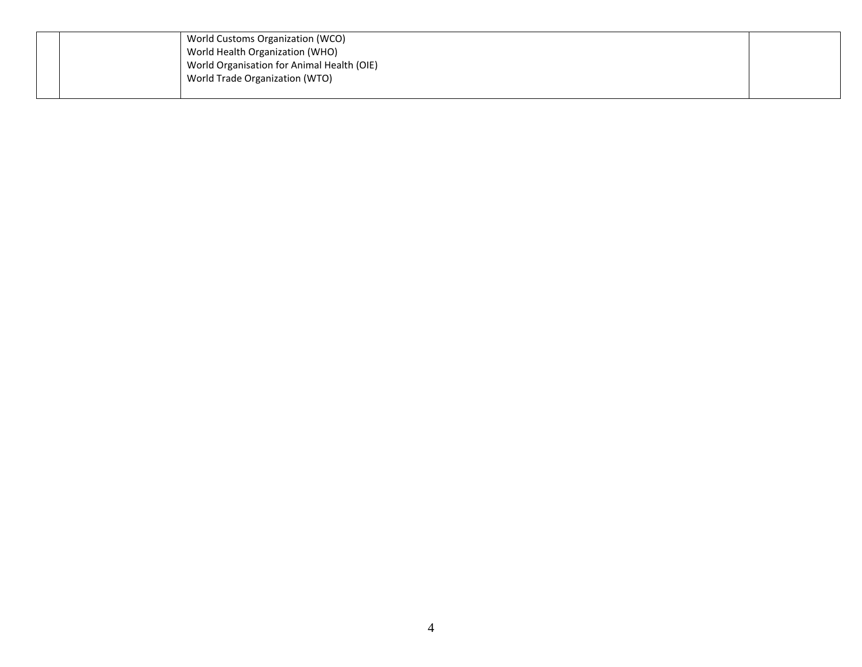|  | World Customs Organization (WCO)           |  |
|--|--------------------------------------------|--|
|  | World Health Organization (WHO)            |  |
|  | World Organisation for Animal Health (OIE) |  |
|  | World Trade Organization (WTO)             |  |
|  |                                            |  |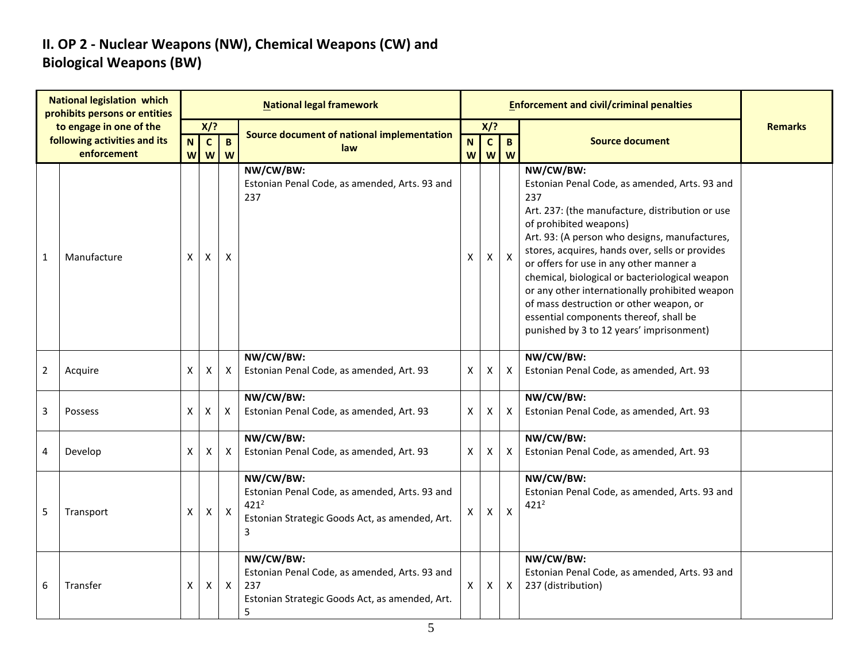### **II. OP 2 - Nuclear Weapons (NW), Chemical Weapons (CW) and Biological Weapons (BW)**

| <b>National legislation which</b><br>prohibits persons or entities |                                                         | <b>National legal framework</b> |                       |                           |                                                                                                                              |    |                           |                           | <b>Enforcement and civil/criminal penalties</b>                                                                                                                                                                                                                                                                                                                                                                                                                                                                                    |                |  |  |  |
|--------------------------------------------------------------------|---------------------------------------------------------|---------------------------------|-----------------------|---------------------------|------------------------------------------------------------------------------------------------------------------------------|----|---------------------------|---------------------------|------------------------------------------------------------------------------------------------------------------------------------------------------------------------------------------------------------------------------------------------------------------------------------------------------------------------------------------------------------------------------------------------------------------------------------------------------------------------------------------------------------------------------------|----------------|--|--|--|
|                                                                    | to engage in one of the<br>following activities and its | N                               | $X$ ?<br>$\mathbf{C}$ | $\mathbf{B}$              | Source document of national implementation                                                                                   | N  | X/?<br>$\mathbf{C}$       | $\mathbf{B}$              | <b>Source document</b>                                                                                                                                                                                                                                                                                                                                                                                                                                                                                                             | <b>Remarks</b> |  |  |  |
|                                                                    | enforcement                                             | W                               | <b>W</b>              | W                         | law                                                                                                                          | W  | $\boldsymbol{\mathsf{W}}$ | W                         |                                                                                                                                                                                                                                                                                                                                                                                                                                                                                                                                    |                |  |  |  |
| $\mathbf{1}$                                                       | Manufacture                                             | X                               | X                     | $\boldsymbol{\mathsf{X}}$ | NW/CW/BW:<br>Estonian Penal Code, as amended, Arts. 93 and<br>237                                                            | X  | X                         | $\pmb{\times}$            | NW/CW/BW:<br>Estonian Penal Code, as amended, Arts. 93 and<br>237<br>Art. 237: (the manufacture, distribution or use<br>of prohibited weapons)<br>Art. 93: (A person who designs, manufactures,<br>stores, acquires, hands over, sells or provides<br>or offers for use in any other manner a<br>chemical, biological or bacteriological weapon<br>or any other internationally prohibited weapon<br>of mass destruction or other weapon, or<br>essential components thereof, shall be<br>punished by 3 to 12 years' imprisonment) |                |  |  |  |
| $\overline{2}$                                                     | Acquire                                                 | X                               | Χ                     | X                         | NW/CW/BW:<br>Estonian Penal Code, as amended, Art. 93                                                                        | X  | X                         | $\boldsymbol{\mathsf{X}}$ | NW/CW/BW:<br>Estonian Penal Code, as amended, Art. 93                                                                                                                                                                                                                                                                                                                                                                                                                                                                              |                |  |  |  |
| 3                                                                  | Possess                                                 | X                               | X                     | X                         | NW/CW/BW:<br>Estonian Penal Code, as amended, Art. 93                                                                        | X  | X                         | $\mathsf{X}$              | NW/CW/BW:<br>Estonian Penal Code, as amended, Art. 93                                                                                                                                                                                                                                                                                                                                                                                                                                                                              |                |  |  |  |
| 4                                                                  | Develop                                                 | X                               | X                     | X                         | NW/CW/BW:<br>Estonian Penal Code, as amended, Art. 93                                                                        | X  | $\boldsymbol{\mathsf{x}}$ | $\boldsymbol{\mathsf{X}}$ | NW/CW/BW:<br>Estonian Penal Code, as amended, Art. 93                                                                                                                                                                                                                                                                                                                                                                                                                                                                              |                |  |  |  |
| 5                                                                  | Transport                                               | X                               | X                     | $\pmb{\times}$            | NW/CW/BW:<br>Estonian Penal Code, as amended, Arts. 93 and<br>$421^2$<br>Estonian Strategic Goods Act, as amended, Art.<br>3 | X. | X                         | $\boldsymbol{\mathsf{X}}$ | NW/CW/BW:<br>Estonian Penal Code, as amended, Arts. 93 and<br>$421^2$                                                                                                                                                                                                                                                                                                                                                                                                                                                              |                |  |  |  |
| 6                                                                  | Transfer                                                | $\pmb{\mathsf{X}}$              | X                     | $\mathsf X$               | NW/CW/BW:<br>Estonian Penal Code, as amended, Arts. 93 and<br>237<br>Estonian Strategic Goods Act, as amended, Art.<br>5     | Χ  | X                         | $\pmb{\times}$            | NW/CW/BW:<br>Estonian Penal Code, as amended, Arts. 93 and<br>237 (distribution)                                                                                                                                                                                                                                                                                                                                                                                                                                                   |                |  |  |  |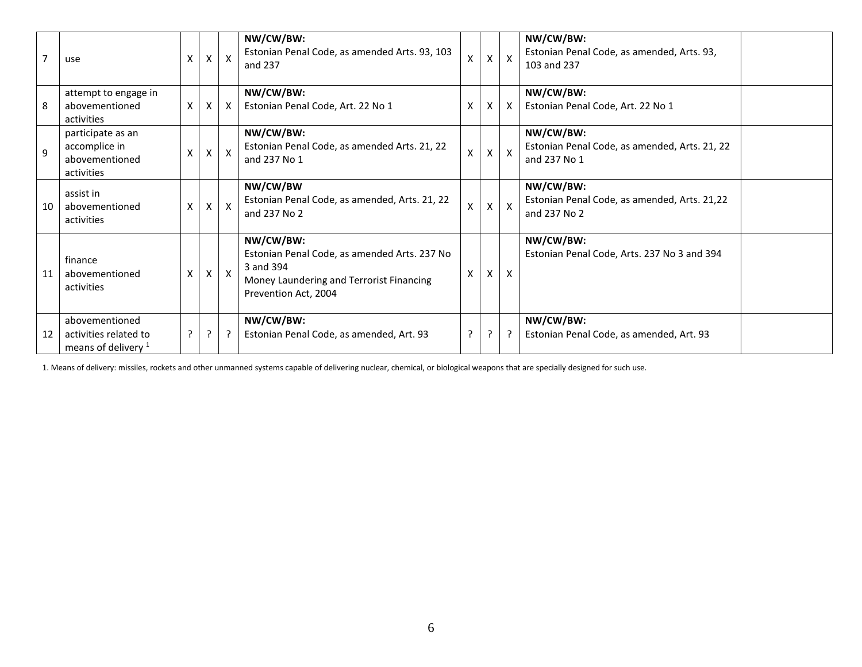| $\overline{7}$ | use                                                                       | X              | $\times$     | $\mathsf{X}$ | NW/CW/BW:<br>Estonian Penal Code, as amended Arts. 93, 103<br>and 237                                                                      | X              | X            | $\mathsf{X}$              | NW/CW/BW:<br>Estonian Penal Code, as amended, Arts. 93,<br>103 and 237     |
|----------------|---------------------------------------------------------------------------|----------------|--------------|--------------|--------------------------------------------------------------------------------------------------------------------------------------------|----------------|--------------|---------------------------|----------------------------------------------------------------------------|
| 8              | attempt to engage in<br>abovementioned<br>activities                      | X              | X            | $\mathsf{X}$ | NW/CW/BW:<br>Estonian Penal Code, Art. 22 No 1                                                                                             | X              | $\mathsf{X}$ | $\mathsf{X}$              | NW/CW/BW:<br>Estonian Penal Code, Art. 22 No 1                             |
| $\mathsf{q}$   | participate as an<br>accomplice in<br>abovementioned<br>activities        | Χ              | X            | $\mathsf{X}$ | NW/CW/BW:<br>Estonian Penal Code, as amended Arts. 21, 22<br>and 237 No 1                                                                  | X              | X            | $\mathsf{X}$              | NW/CW/BW:<br>Estonian Penal Code, as amended, Arts. 21, 22<br>and 237 No 1 |
| 10             | assist in<br>abovementioned<br>activities                                 | X              | $\mathsf{X}$ | $\mathsf{X}$ | NW/CW/BW<br>Estonian Penal Code, as amended, Arts. 21, 22<br>and 237 No 2                                                                  | X              | $\mathsf{X}$ | $\mathsf{x}$              | NW/CW/BW:<br>Estonian Penal Code, as amended, Arts. 21,22<br>and 237 No 2  |
| 11             | finance<br>abovementioned<br>activities                                   | X              | $\mathsf{X}$ | $\mathsf{X}$ | NW/CW/BW:<br>Estonian Penal Code, as amended Arts. 237 No<br>3 and 394<br>Money Laundering and Terrorist Financing<br>Prevention Act, 2004 | X              | X            | $\boldsymbol{\mathsf{X}}$ | NW/CW/BW:<br>Estonian Penal Code, Arts. 237 No 3 and 394                   |
| 12             | abovementioned<br>activities related to<br>means of delivery <sup>1</sup> | $\overline{?}$ | $\cdot$      | $\cdot$      | NW/CW/BW:<br>Estonian Penal Code, as amended, Art. 93                                                                                      | $\overline{?}$ | ?            | $\cdot$                   | NW/CW/BW:<br>Estonian Penal Code, as amended, Art. 93                      |

1. Means of delivery: missiles, rockets and other unmanned systems capable of delivering nuclear, chemical, or biological weapons that are specially designed for such use.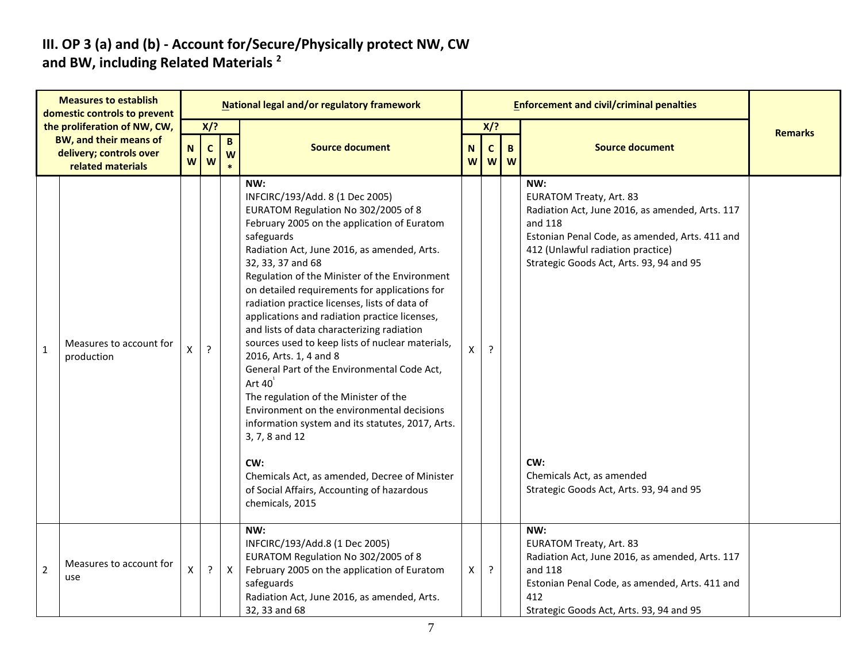#### **III. OP 3 (a) and (b) - Account for/Secure/Physically protect NW, CW and BW, including Related Materials <sup>2</sup>**

| <b>Measures to establish</b><br>domestic controls to prevent<br>the proliferation of NW, CW,<br>BW, and their means of |                                              |        |        |              | National legal and/or regulatory framework                                                                                                                                                                                                                                                                                                                                                                                                                                                                                                                                                                                                                                                                                                                               |        |                  | <b>Enforcement and civil/criminal penalties</b> |                                                                                                                                                                                                                                        |                |
|------------------------------------------------------------------------------------------------------------------------|----------------------------------------------|--------|--------|--------------|--------------------------------------------------------------------------------------------------------------------------------------------------------------------------------------------------------------------------------------------------------------------------------------------------------------------------------------------------------------------------------------------------------------------------------------------------------------------------------------------------------------------------------------------------------------------------------------------------------------------------------------------------------------------------------------------------------------------------------------------------------------------------|--------|------------------|-------------------------------------------------|----------------------------------------------------------------------------------------------------------------------------------------------------------------------------------------------------------------------------------------|----------------|
|                                                                                                                        |                                              | $X$ /? |        | $\mathbf{B}$ |                                                                                                                                                                                                                                                                                                                                                                                                                                                                                                                                                                                                                                                                                                                                                                          |        | $X$ ?            |                                                 |                                                                                                                                                                                                                                        | <b>Remarks</b> |
|                                                                                                                        | delivery; controls over<br>related materials | N<br>W | C<br>W | W            | <b>Source document</b>                                                                                                                                                                                                                                                                                                                                                                                                                                                                                                                                                                                                                                                                                                                                                   | N<br>W | $\mathbf c$<br>W | B.<br>W                                         | <b>Source document</b>                                                                                                                                                                                                                 |                |
| $\mathbf{1}$                                                                                                           | Measures to account for<br>production        | X      | ?      |              | NW:<br>INFCIRC/193/Add. 8 (1 Dec 2005)<br>EURATOM Regulation No 302/2005 of 8<br>February 2005 on the application of Euratom<br>safeguards<br>Radiation Act, June 2016, as amended, Arts.<br>32, 33, 37 and 68<br>Regulation of the Minister of the Environment<br>on detailed requirements for applications for<br>radiation practice licenses, lists of data of<br>applications and radiation practice licenses,<br>and lists of data characterizing radiation<br>sources used to keep lists of nuclear materials,<br>2016, Arts. 1, 4 and 8<br>General Part of the Environmental Code Act,<br>Art $40^1$<br>The regulation of the Minister of the<br>Environment on the environmental decisions<br>information system and its statutes, 2017, Arts.<br>3, 7, 8 and 12 | X      | $\cdot$          |                                                 | NW:<br><b>EURATOM Treaty, Art. 83</b><br>Radiation Act, June 2016, as amended, Arts. 117<br>and 118<br>Estonian Penal Code, as amended, Arts. 411 and<br>412 (Unlawful radiation practice)<br>Strategic Goods Act, Arts. 93, 94 and 95 |                |
|                                                                                                                        |                                              |        |        |              | CW:<br>Chemicals Act, as amended, Decree of Minister<br>of Social Affairs, Accounting of hazardous<br>chemicals, 2015                                                                                                                                                                                                                                                                                                                                                                                                                                                                                                                                                                                                                                                    |        |                  |                                                 | CW:<br>Chemicals Act, as amended<br>Strategic Goods Act, Arts. 93, 94 and 95                                                                                                                                                           |                |
| $\overline{2}$                                                                                                         | Measures to account for<br>use               | X      | ?      | X            | NW:<br>INFCIRC/193/Add.8 (1 Dec 2005)<br>EURATOM Regulation No 302/2005 of 8<br>February 2005 on the application of Euratom<br>safeguards<br>Radiation Act, June 2016, as amended, Arts.<br>32, 33 and 68                                                                                                                                                                                                                                                                                                                                                                                                                                                                                                                                                                | X      | ?                |                                                 | NW:<br><b>EURATOM Treaty, Art. 83</b><br>Radiation Act, June 2016, as amended, Arts. 117<br>and 118<br>Estonian Penal Code, as amended, Arts. 411 and<br>412<br>Strategic Goods Act, Arts. 93, 94 and 95                               |                |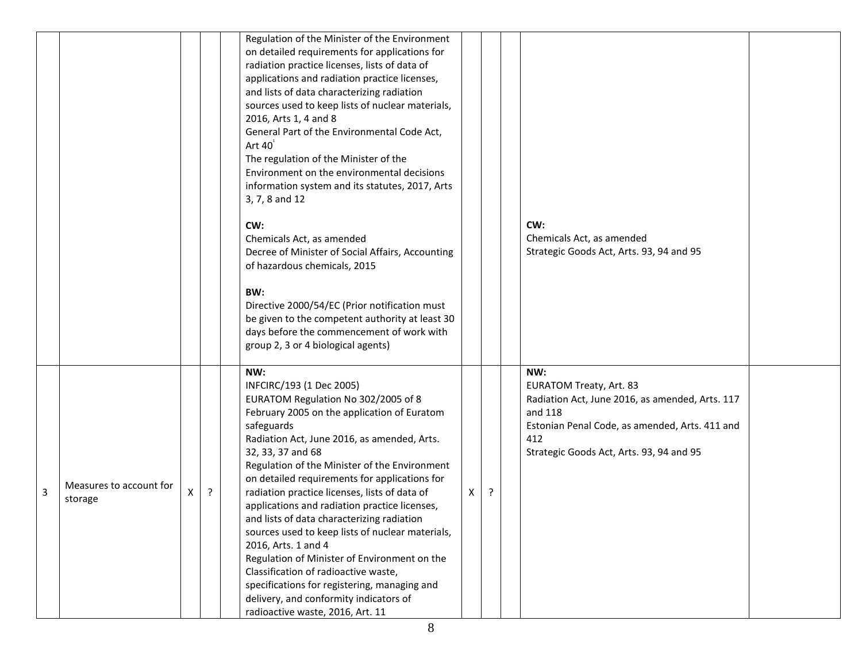|                |                                    |    |   | Regulation of the Minister of the Environment<br>on detailed requirements for applications for<br>radiation practice licenses, lists of data of<br>applications and radiation practice licenses,<br>and lists of data characterizing radiation<br>sources used to keep lists of nuclear materials,<br>2016, Arts 1, 4 and 8<br>General Part of the Environmental Code Act,<br>Art $40^{\degree}$<br>The regulation of the Minister of the<br>Environment on the environmental decisions<br>information system and its statutes, 2017, Arts<br>3, 7, 8 and 12<br>CW:<br>Chemicals Act, as amended<br>Decree of Minister of Social Affairs, Accounting<br>of hazardous chemicals, 2015<br>BW:<br>Directive 2000/54/EC (Prior notification must<br>be given to the competent authority at least 30<br>days before the commencement of work with<br>group 2, 3 or 4 biological agents) |              |   | CW:<br>Chemicals Act, as amended<br>Strategic Goods Act, Arts. 93, 94 and 95                                                                                                                             |  |
|----------------|------------------------------------|----|---|------------------------------------------------------------------------------------------------------------------------------------------------------------------------------------------------------------------------------------------------------------------------------------------------------------------------------------------------------------------------------------------------------------------------------------------------------------------------------------------------------------------------------------------------------------------------------------------------------------------------------------------------------------------------------------------------------------------------------------------------------------------------------------------------------------------------------------------------------------------------------------|--------------|---|----------------------------------------------------------------------------------------------------------------------------------------------------------------------------------------------------------|--|
| $\overline{3}$ | Measures to account for<br>storage | X. | ? | NW:<br>INFCIRC/193 (1 Dec 2005)<br>EURATOM Regulation No 302/2005 of 8<br>February 2005 on the application of Euratom<br>safeguards<br>Radiation Act, June 2016, as amended, Arts.<br>32, 33, 37 and 68<br>Regulation of the Minister of the Environment<br>on detailed requirements for applications for<br>radiation practice licenses, lists of data of<br>applications and radiation practice licenses,<br>and lists of data characterizing radiation<br>sources used to keep lists of nuclear materials,<br>2016, Arts. 1 and 4<br>Regulation of Minister of Environment on the<br>Classification of radioactive waste,<br>specifications for registering, managing and<br>delivery, and conformity indicators of<br>radioactive waste, 2016, Art. 11                                                                                                                         | $\mathsf{X}$ | ŗ | NW:<br><b>EURATOM Treaty, Art. 83</b><br>Radiation Act, June 2016, as amended, Arts. 117<br>and 118<br>Estonian Penal Code, as amended, Arts. 411 and<br>412<br>Strategic Goods Act, Arts. 93, 94 and 95 |  |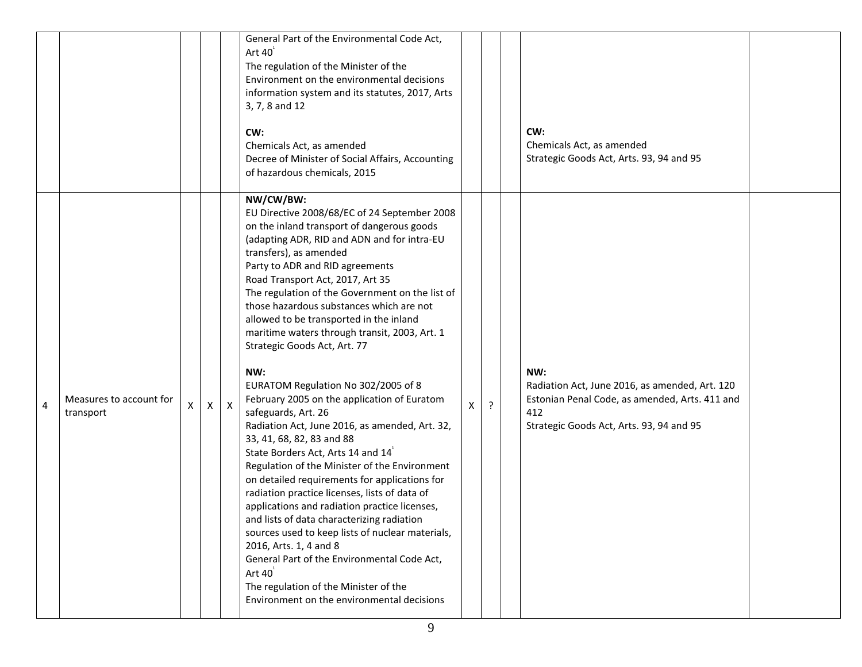|           |                                      |   |   |              | General Part of the Environmental Code Act,<br>Art $40^1$<br>The regulation of the Minister of the<br>Environment on the environmental decisions<br>information system and its statutes, 2017, Arts<br>3, 7, 8 and 12<br>CW:<br>Chemicals Act, as amended<br>Decree of Minister of Social Affairs, Accounting<br>of hazardous chemicals, 2015                                                                                                                                                                                                                                                                                                                                                                                                                                                                                                                                                                                                                                                                                                                                                                                                                                                                          |   |         | CW:<br>Chemicals Act, as amended<br>Strategic Goods Act, Arts. 93, 94 and 95                                                                               |  |
|-----------|--------------------------------------|---|---|--------------|------------------------------------------------------------------------------------------------------------------------------------------------------------------------------------------------------------------------------------------------------------------------------------------------------------------------------------------------------------------------------------------------------------------------------------------------------------------------------------------------------------------------------------------------------------------------------------------------------------------------------------------------------------------------------------------------------------------------------------------------------------------------------------------------------------------------------------------------------------------------------------------------------------------------------------------------------------------------------------------------------------------------------------------------------------------------------------------------------------------------------------------------------------------------------------------------------------------------|---|---------|------------------------------------------------------------------------------------------------------------------------------------------------------------|--|
| $\pmb{4}$ | Measures to account for<br>transport | X | X | $\mathsf{X}$ | NW/CW/BW:<br>EU Directive 2008/68/EC of 24 September 2008<br>on the inland transport of dangerous goods<br>(adapting ADR, RID and ADN and for intra-EU<br>transfers), as amended<br>Party to ADR and RID agreements<br>Road Transport Act, 2017, Art 35<br>The regulation of the Government on the list of<br>those hazardous substances which are not<br>allowed to be transported in the inland<br>maritime waters through transit, 2003, Art. 1<br>Strategic Goods Act, Art. 77<br>NW:<br>EURATOM Regulation No 302/2005 of 8<br>February 2005 on the application of Euratom<br>safeguards, Art. 26<br>Radiation Act, June 2016, as amended, Art. 32,<br>33, 41, 68, 82, 83 and 88<br>State Borders Act, Arts 14 and 14<br>Regulation of the Minister of the Environment<br>on detailed requirements for applications for<br>radiation practice licenses, lists of data of<br>applications and radiation practice licenses,<br>and lists of data characterizing radiation<br>sources used to keep lists of nuclear materials,<br>2016, Arts. 1, 4 and 8<br>General Part of the Environmental Code Act,<br>Art $40^{\degree}$<br>The regulation of the Minister of the<br>Environment on the environmental decisions | X | $\cdot$ | NW:<br>Radiation Act, June 2016, as amended, Art. 120<br>Estonian Penal Code, as amended, Arts. 411 and<br>412<br>Strategic Goods Act, Arts. 93, 94 and 95 |  |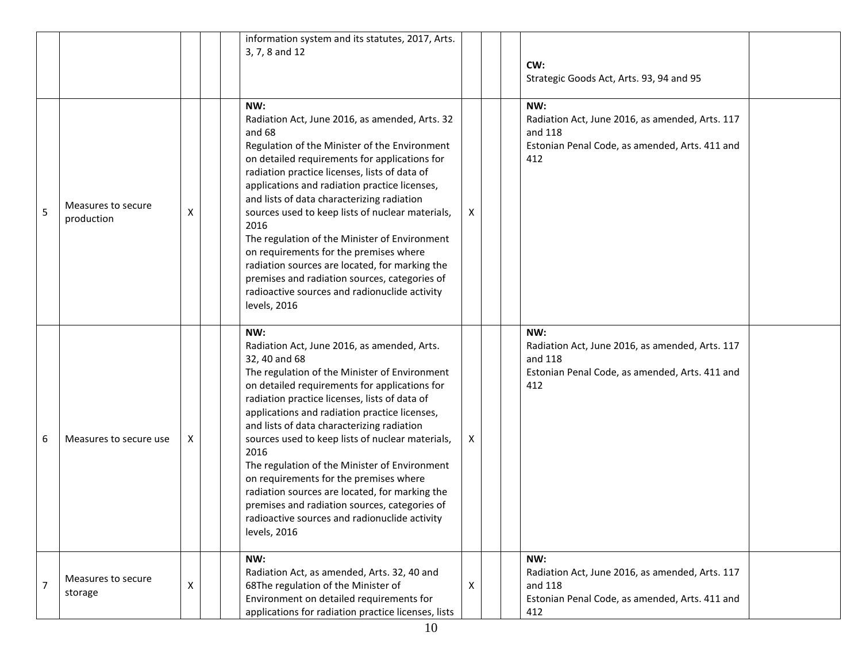|                |                                  |   | information system and its statutes, 2017, Arts.<br>3, 7, 8 and 12                                                                                                                                                                                                                                                                                                                                                                                                                                                                                                                                                                               |   | CW:<br>Strategic Goods Act, Arts. 93, 94 and 95                                                                            |  |
|----------------|----------------------------------|---|--------------------------------------------------------------------------------------------------------------------------------------------------------------------------------------------------------------------------------------------------------------------------------------------------------------------------------------------------------------------------------------------------------------------------------------------------------------------------------------------------------------------------------------------------------------------------------------------------------------------------------------------------|---|----------------------------------------------------------------------------------------------------------------------------|--|
| 5              | Measures to secure<br>production | X | NW:<br>Radiation Act, June 2016, as amended, Arts. 32<br>and 68<br>Regulation of the Minister of the Environment<br>on detailed requirements for applications for<br>radiation practice licenses, lists of data of<br>applications and radiation practice licenses,<br>and lists of data characterizing radiation<br>sources used to keep lists of nuclear materials,<br>2016<br>The regulation of the Minister of Environment<br>on requirements for the premises where<br>radiation sources are located, for marking the<br>premises and radiation sources, categories of<br>radioactive sources and radionuclide activity<br>levels, 2016     | X | NW:<br>Radiation Act, June 2016, as amended, Arts. 117<br>and 118<br>Estonian Penal Code, as amended, Arts. 411 and<br>412 |  |
| 6              | Measures to secure use           | X | NW:<br>Radiation Act, June 2016, as amended, Arts.<br>32, 40 and 68<br>The regulation of the Minister of Environment<br>on detailed requirements for applications for<br>radiation practice licenses, lists of data of<br>applications and radiation practice licenses,<br>and lists of data characterizing radiation<br>sources used to keep lists of nuclear materials,<br>2016<br>The regulation of the Minister of Environment<br>on requirements for the premises where<br>radiation sources are located, for marking the<br>premises and radiation sources, categories of<br>radioactive sources and radionuclide activity<br>levels, 2016 | X | NW:<br>Radiation Act, June 2016, as amended, Arts. 117<br>and 118<br>Estonian Penal Code, as amended, Arts. 411 and<br>412 |  |
| $\overline{7}$ | Measures to secure<br>storage    | X | NW:<br>Radiation Act, as amended, Arts. 32, 40 and<br>68The regulation of the Minister of<br>Environment on detailed requirements for<br>applications for radiation practice licenses, lists                                                                                                                                                                                                                                                                                                                                                                                                                                                     | X | NW:<br>Radiation Act, June 2016, as amended, Arts. 117<br>and 118<br>Estonian Penal Code, as amended, Arts. 411 and<br>412 |  |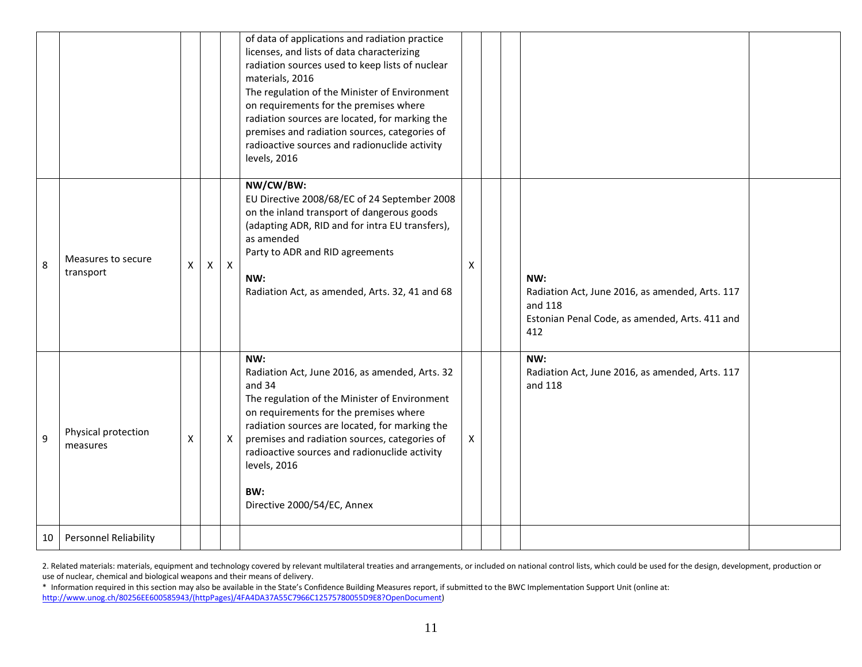|    |                                 |   |              |              | of data of applications and radiation practice<br>licenses, and lists of data characterizing<br>radiation sources used to keep lists of nuclear<br>materials, 2016<br>The regulation of the Minister of Environment<br>on requirements for the premises where<br>radiation sources are located, for marking the<br>premises and radiation sources, categories of<br>radioactive sources and radionuclide activity<br>levels, 2016 |   |                                                                                                                            |  |
|----|---------------------------------|---|--------------|--------------|-----------------------------------------------------------------------------------------------------------------------------------------------------------------------------------------------------------------------------------------------------------------------------------------------------------------------------------------------------------------------------------------------------------------------------------|---|----------------------------------------------------------------------------------------------------------------------------|--|
| 8  | Measures to secure<br>transport | X | $\mathsf{X}$ | $\mathsf{X}$ | NW/CW/BW:<br>EU Directive 2008/68/EC of 24 September 2008<br>on the inland transport of dangerous goods<br>(adapting ADR, RID and for intra EU transfers),<br>as amended<br>Party to ADR and RID agreements<br>NW:<br>Radiation Act, as amended, Arts. 32, 41 and 68                                                                                                                                                              | Χ | NW:<br>Radiation Act, June 2016, as amended, Arts. 117<br>and 118<br>Estonian Penal Code, as amended, Arts. 411 and<br>412 |  |
| 9  | Physical protection<br>measures | X |              | X            | NW:<br>Radiation Act, June 2016, as amended, Arts. 32<br>and 34<br>The regulation of the Minister of Environment<br>on requirements for the premises where<br>radiation sources are located, for marking the<br>premises and radiation sources, categories of<br>radioactive sources and radionuclide activity<br>levels, 2016<br>BW:<br>Directive 2000/54/EC, Annex                                                              | X | NW:<br>Radiation Act, June 2016, as amended, Arts. 117<br>and 118                                                          |  |
| 10 | <b>Personnel Reliability</b>    |   |              |              |                                                                                                                                                                                                                                                                                                                                                                                                                                   |   |                                                                                                                            |  |

2. Related materials: materials, equipment and technology covered by relevant multilateral treaties and arrangements, or included on national control lists, which could be used for the design, development, production or use of nuclear, chemical and biological weapons and their means of delivery.

\* Information required in this section may also be available in the State's Confidence Building Measures report, if submitted to the BWC Implementation Support Unit (online at: [http://www.unog.ch/80256EE600585943/\(httpPages\)/4FA4DA37A55C7966C12575780055D9E8?OpenDocument\)](http://www.unog.ch/80256EE600585943/(httpPages)/4FA4DA37A55C7966C12575780055D9E8?OpenDocument)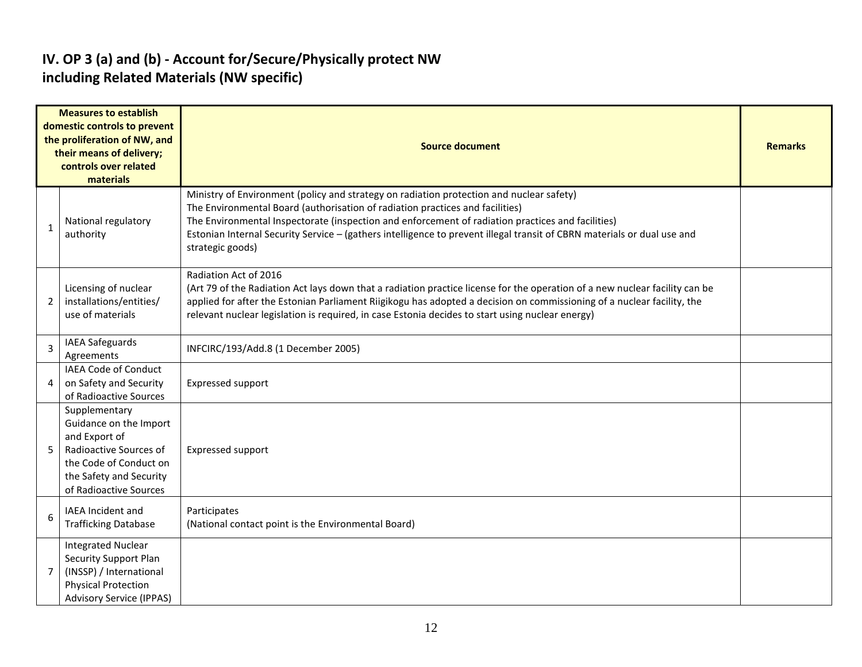### **IV. OP 3 (a) and (b) - Account for/Secure/Physically protect NW including Related Materials (NW specific)**

| <b>Measures to establish</b><br>domestic controls to prevent<br>the proliferation of NW, and<br>their means of delivery;<br>controls over related<br>materials |                                                                                                                                                                   | <b>Source document</b>                                                                                                                                                                                                                                                                                                                                                                                                        | <b>Remarks</b> |
|----------------------------------------------------------------------------------------------------------------------------------------------------------------|-------------------------------------------------------------------------------------------------------------------------------------------------------------------|-------------------------------------------------------------------------------------------------------------------------------------------------------------------------------------------------------------------------------------------------------------------------------------------------------------------------------------------------------------------------------------------------------------------------------|----------------|
| 1                                                                                                                                                              | National regulatory<br>authority                                                                                                                                  | Ministry of Environment (policy and strategy on radiation protection and nuclear safety)<br>The Environmental Board (authorisation of radiation practices and facilities)<br>The Environmental Inspectorate (inspection and enforcement of radiation practices and facilities)<br>Estonian Internal Security Service - (gathers intelligence to prevent illegal transit of CBRN materials or dual use and<br>strategic goods) |                |
| 2                                                                                                                                                              | Licensing of nuclear<br>installations/entities/<br>use of materials                                                                                               | Radiation Act of 2016<br>(Art 79 of the Radiation Act lays down that a radiation practice license for the operation of a new nuclear facility can be<br>applied for after the Estonian Parliament Riigikogu has adopted a decision on commissioning of a nuclear facility, the<br>relevant nuclear legislation is required, in case Estonia decides to start using nuclear energy)                                            |                |
| 3                                                                                                                                                              | <b>IAEA Safeguards</b><br>Agreements                                                                                                                              | INFCIRC/193/Add.8 (1 December 2005)                                                                                                                                                                                                                                                                                                                                                                                           |                |
| 4                                                                                                                                                              | <b>IAEA Code of Conduct</b><br>on Safety and Security<br>of Radioactive Sources                                                                                   | <b>Expressed support</b>                                                                                                                                                                                                                                                                                                                                                                                                      |                |
| 5                                                                                                                                                              | Supplementary<br>Guidance on the Import<br>and Export of<br>Radioactive Sources of<br>the Code of Conduct on<br>the Safety and Security<br>of Radioactive Sources | <b>Expressed support</b>                                                                                                                                                                                                                                                                                                                                                                                                      |                |
| 6                                                                                                                                                              | <b>IAEA</b> Incident and<br><b>Trafficking Database</b>                                                                                                           | Participates<br>(National contact point is the Environmental Board)                                                                                                                                                                                                                                                                                                                                                           |                |
| $\overline{7}$                                                                                                                                                 | <b>Integrated Nuclear</b><br>Security Support Plan<br>(INSSP) / International<br><b>Physical Protection</b><br><b>Advisory Service (IPPAS)</b>                    |                                                                                                                                                                                                                                                                                                                                                                                                                               |                |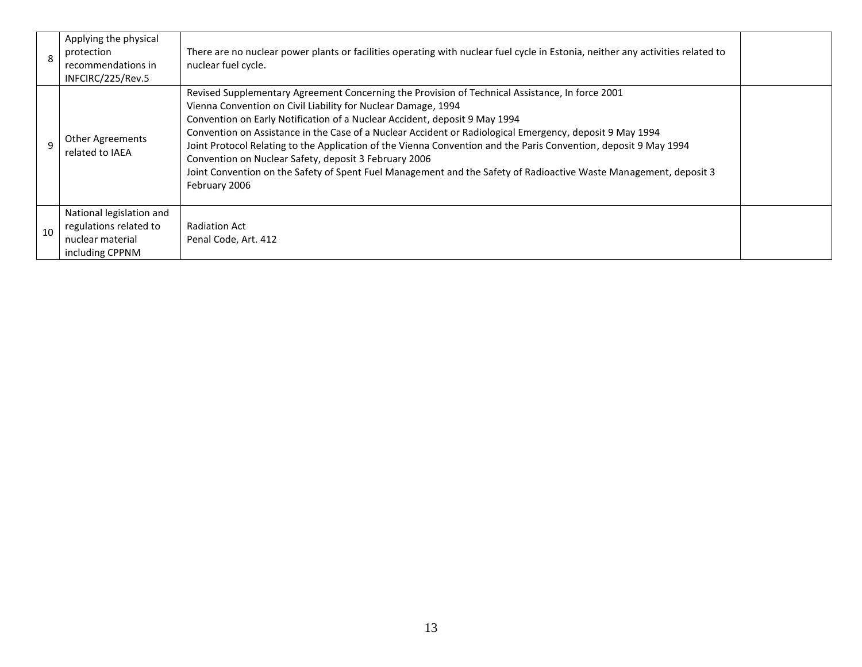| 8  | Applying the physical<br>protection<br>recommendations in<br>INFCIRC/225/Rev.5            | There are no nuclear power plants or facilities operating with nuclear fuel cycle in Estonia, neither any activities related to<br>nuclear fuel cycle.                                                                                                                                                                                                                                                                                                                                                                                                                                                                                                                        |  |
|----|-------------------------------------------------------------------------------------------|-------------------------------------------------------------------------------------------------------------------------------------------------------------------------------------------------------------------------------------------------------------------------------------------------------------------------------------------------------------------------------------------------------------------------------------------------------------------------------------------------------------------------------------------------------------------------------------------------------------------------------------------------------------------------------|--|
| 9  | <b>Other Agreements</b><br>related to IAEA                                                | Revised Supplementary Agreement Concerning the Provision of Technical Assistance, In force 2001<br>Vienna Convention on Civil Liability for Nuclear Damage, 1994<br>Convention on Early Notification of a Nuclear Accident, deposit 9 May 1994<br>Convention on Assistance in the Case of a Nuclear Accident or Radiological Emergency, deposit 9 May 1994<br>Joint Protocol Relating to the Application of the Vienna Convention and the Paris Convention, deposit 9 May 1994<br>Convention on Nuclear Safety, deposit 3 February 2006<br>Joint Convention on the Safety of Spent Fuel Management and the Safety of Radioactive Waste Management, deposit 3<br>February 2006 |  |
| 10 | National legislation and<br>regulations related to<br>nuclear material<br>including CPPNM | Radiation Act<br>Penal Code, Art. 412                                                                                                                                                                                                                                                                                                                                                                                                                                                                                                                                                                                                                                         |  |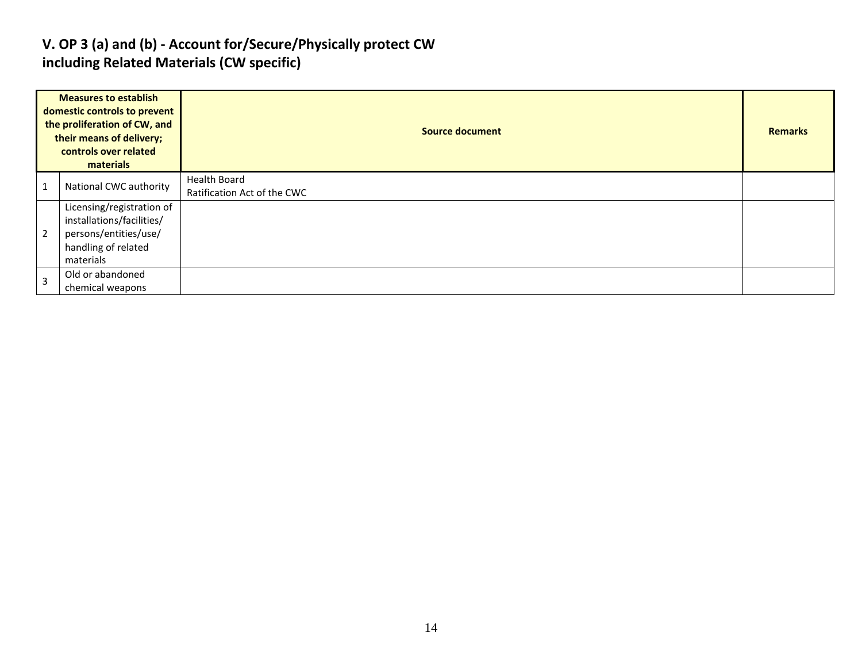### **V. OP 3 (a) and (b) - Account for/Secure/Physically protect CW including Related Materials (CW specific)**

| <b>Measures to establish</b><br>domestic controls to prevent<br>the proliferation of CW, and<br>their means of delivery;<br>controls over related<br>materials |                                                                                                                     | <b>Source document</b>                             |  |  |  |  |  |
|----------------------------------------------------------------------------------------------------------------------------------------------------------------|---------------------------------------------------------------------------------------------------------------------|----------------------------------------------------|--|--|--|--|--|
|                                                                                                                                                                | National CWC authority                                                                                              | <b>Health Board</b><br>Ratification Act of the CWC |  |  |  |  |  |
| $\overline{2}$                                                                                                                                                 | Licensing/registration of<br>installations/facilities/<br>persons/entities/use/<br>handling of related<br>materials |                                                    |  |  |  |  |  |
| $\overline{3}$                                                                                                                                                 | Old or abandoned<br>chemical weapons                                                                                |                                                    |  |  |  |  |  |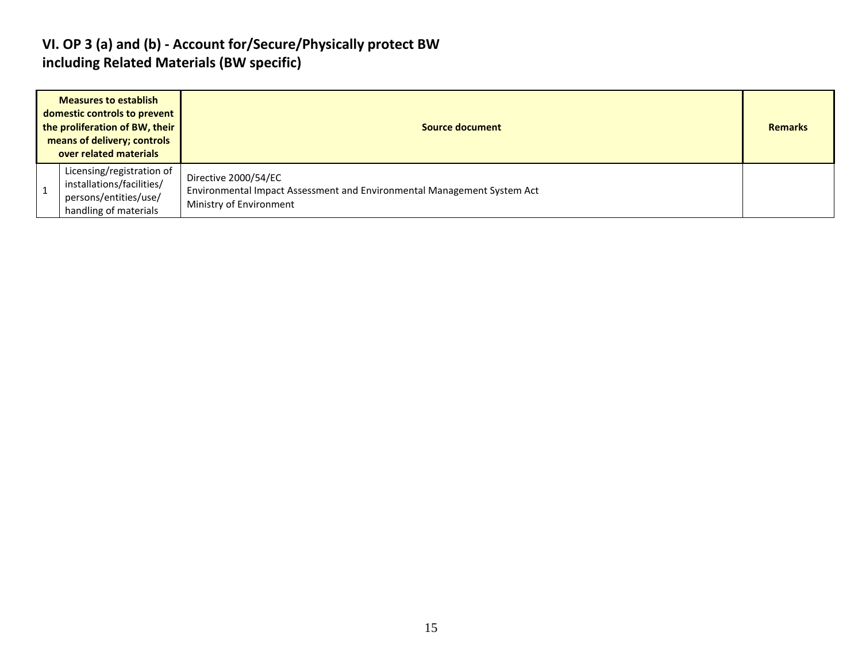### **VI. OP 3 (a) and (b) - Account for/Secure/Physically protect BW including Related Materials (BW specific)**

| <b>Measures to establish</b><br>domestic controls to prevent<br>the proliferation of BW, their<br>means of delivery; controls<br>over related materials | Source document                                                                                                            |  |  |  |  |  |
|---------------------------------------------------------------------------------------------------------------------------------------------------------|----------------------------------------------------------------------------------------------------------------------------|--|--|--|--|--|
| Licensing/registration of<br>installations/facilities/<br>persons/entities/use/<br>handling of materials                                                | Directive 2000/54/EC<br>Environmental Impact Assessment and Environmental Management System Act<br>Ministry of Environment |  |  |  |  |  |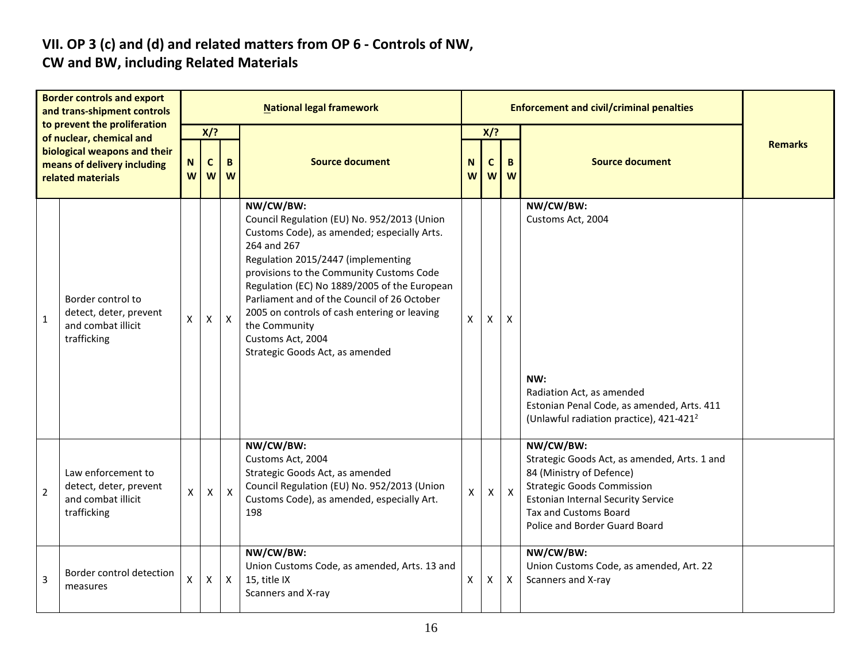# **VII. OP 3 (c) and (d) and related matters from OP 6 - Controls of NW,**

## **CW and BW, including Related Materials**

| <b>Border controls and export</b><br>and trans-shipment controls<br>to prevent the proliferation<br>of nuclear, chemical and<br>biological weapons and their<br>means of delivery including<br>related materials |                                                                                   |              |                                      |                    | <b>National legal framework</b>                                                                                                                                                                                                                                                                                                                                                                                                  |        |                 |              | <b>Enforcement and civil/criminal penalties</b>                                                                                                                                                                                          |                |  |  |
|------------------------------------------------------------------------------------------------------------------------------------------------------------------------------------------------------------------|-----------------------------------------------------------------------------------|--------------|--------------------------------------|--------------------|----------------------------------------------------------------------------------------------------------------------------------------------------------------------------------------------------------------------------------------------------------------------------------------------------------------------------------------------------------------------------------------------------------------------------------|--------|-----------------|--------------|------------------------------------------------------------------------------------------------------------------------------------------------------------------------------------------------------------------------------------------|----------------|--|--|
|                                                                                                                                                                                                                  |                                                                                   | N<br>W       | $X$ ?<br>$\mathbf{C}$<br>B<br>W<br>W |                    | <b>Source document</b>                                                                                                                                                                                                                                                                                                                                                                                                           | N<br>W | $X$ ?<br>C<br>W | B<br>W       | <b>Source document</b>                                                                                                                                                                                                                   | <b>Remarks</b> |  |  |
| $1\,$                                                                                                                                                                                                            | Border control to<br>detect, deter, prevent<br>and combat illicit<br>trafficking  | X            | $\mathsf{X}$                         | $\pmb{\mathsf{X}}$ | NW/CW/BW:<br>Council Regulation (EU) No. 952/2013 (Union<br>Customs Code), as amended; especially Arts.<br>264 and 267<br>Regulation 2015/2447 (implementing<br>provisions to the Community Customs Code<br>Regulation (EC) No 1889/2005 of the European<br>Parliament and of the Council of 26 October<br>2005 on controls of cash entering or leaving<br>the Community<br>Customs Act, 2004<br>Strategic Goods Act, as amended | X      | X               | X            | NW/CW/BW:<br>Customs Act, 2004<br>NW:<br>Radiation Act, as amended<br>Estonian Penal Code, as amended, Arts. 411<br>(Unlawful radiation practice), 421-421 <sup>2</sup>                                                                  |                |  |  |
| $\overline{2}$                                                                                                                                                                                                   | Law enforcement to<br>detect, deter, prevent<br>and combat illicit<br>trafficking | $\mathsf{X}$ | $\mathsf{X}$                         | $\mathsf{X}$       | NW/CW/BW:<br>Customs Act, 2004<br>Strategic Goods Act, as amended<br>Council Regulation (EU) No. 952/2013 (Union<br>Customs Code), as amended, especially Art.<br>198                                                                                                                                                                                                                                                            | X.     | X               | $\mathsf{X}$ | NW/CW/BW:<br>Strategic Goods Act, as amended, Arts. 1 and<br>84 (Ministry of Defence)<br><b>Strategic Goods Commission</b><br><b>Estonian Internal Security Service</b><br><b>Tax and Customs Board</b><br>Police and Border Guard Board |                |  |  |
| 3                                                                                                                                                                                                                | Border control detection<br>measures                                              | X            | $\mathsf{X}$                         | $\mathsf{X}$       | NW/CW/BW:<br>Union Customs Code, as amended, Arts. 13 and<br>15, title IX<br>Scanners and X-ray                                                                                                                                                                                                                                                                                                                                  | X      | X               | $\mathsf{X}$ | NW/CW/BW:<br>Union Customs Code, as amended, Art. 22<br>Scanners and X-ray                                                                                                                                                               |                |  |  |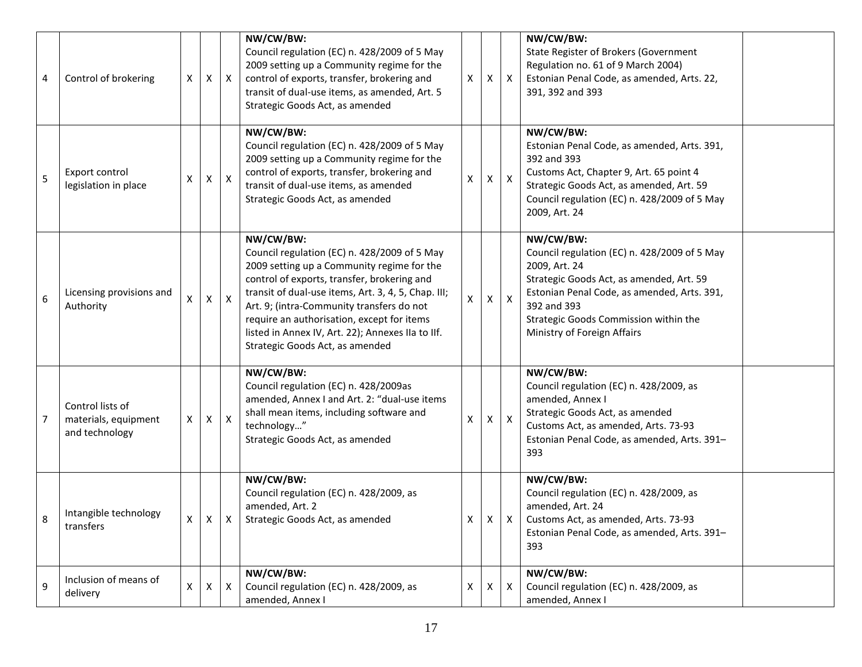| 4              | Control of brokering                                       | X | X            | $\mathsf{X}$ | NW/CW/BW:<br>Council regulation (EC) n. 428/2009 of 5 May<br>2009 setting up a Community regime for the<br>control of exports, transfer, brokering and<br>transit of dual-use items, as amended, Art. 5<br>Strategic Goods Act, as amended                                                                                                                                                       | X | X.             | $\mathsf{X}$              | NW/CW/BW:<br>State Register of Brokers (Government<br>Regulation no. 61 of 9 March 2004)<br>Estonian Penal Code, as amended, Arts. 22,<br>391, 392 and 393                                                                                                   |  |
|----------------|------------------------------------------------------------|---|--------------|--------------|--------------------------------------------------------------------------------------------------------------------------------------------------------------------------------------------------------------------------------------------------------------------------------------------------------------------------------------------------------------------------------------------------|---|----------------|---------------------------|--------------------------------------------------------------------------------------------------------------------------------------------------------------------------------------------------------------------------------------------------------------|--|
| 5              | Export control<br>legislation in place                     | X | X            | $\mathsf{X}$ | NW/CW/BW:<br>Council regulation (EC) n. 428/2009 of 5 May<br>2009 setting up a Community regime for the<br>control of exports, transfer, brokering and<br>transit of dual-use items, as amended<br>Strategic Goods Act, as amended                                                                                                                                                               | X | X              | $\boldsymbol{\mathsf{X}}$ | NW/CW/BW:<br>Estonian Penal Code, as amended, Arts. 391,<br>392 and 393<br>Customs Act, Chapter 9, Art. 65 point 4<br>Strategic Goods Act, as amended, Art. 59<br>Council regulation (EC) n. 428/2009 of 5 May<br>2009, Art. 24                              |  |
| 6              | Licensing provisions and<br>Authority                      | Χ | $\mathsf{X}$ | $\mathsf{X}$ | NW/CW/BW:<br>Council regulation (EC) n. 428/2009 of 5 May<br>2009 setting up a Community regime for the<br>control of exports, transfer, brokering and<br>transit of dual-use items, Art. 3, 4, 5, Chap. III;<br>Art. 9; (intra-Community transfers do not<br>require an authorisation, except for items<br>listed in Annex IV, Art. 22); Annexes IIa to IIf.<br>Strategic Goods Act, as amended | X | X              | $\boldsymbol{\mathsf{X}}$ | NW/CW/BW:<br>Council regulation (EC) n. 428/2009 of 5 May<br>2009, Art. 24<br>Strategic Goods Act, as amended, Art. 59<br>Estonian Penal Code, as amended, Arts. 391,<br>392 and 393<br>Strategic Goods Commission within the<br>Ministry of Foreign Affairs |  |
| $\overline{7}$ | Control lists of<br>materials, equipment<br>and technology | x | $\mathsf{X}$ | $\mathsf{X}$ | NW/CW/BW:<br>Council regulation (EC) n. 428/2009as<br>amended, Annex I and Art. 2: "dual-use items<br>shall mean items, including software and<br>technology"<br>Strategic Goods Act, as amended                                                                                                                                                                                                 | X | X.             | $\boldsymbol{\mathsf{X}}$ | NW/CW/BW:<br>Council regulation (EC) n. 428/2009, as<br>amended, Annex I<br>Strategic Goods Act, as amended<br>Customs Act, as amended, Arts. 73-93<br>Estonian Penal Code, as amended, Arts. 391-<br>393                                                    |  |
|                | Intangible technology<br>transfers                         | Χ | $\mathsf{X}$ | $\mathsf{X}$ | NW/CW/BW:<br>Council regulation (EC) n. 428/2009, as<br>amended, Art. 2<br>Strategic Goods Act, as amended                                                                                                                                                                                                                                                                                       | X | $\mathsf{X}^-$ | $\mathsf{X}$              | NW/CW/BW:<br>Council regulation (EC) n. 428/2009, as<br>amended, Art. 24<br>Customs Act, as amended, Arts. 73-93<br>Estonian Penal Code, as amended, Arts. 391-<br>393                                                                                       |  |
| 9              | Inclusion of means of<br>delivery                          | X | $\mathsf{X}$ | $\mathsf{x}$ | NW/CW/BW:<br>Council regulation (EC) n. 428/2009, as<br>amended, Annex I                                                                                                                                                                                                                                                                                                                         | X | X              | X                         | NW/CW/BW:<br>Council regulation (EC) n. 428/2009, as<br>amended, Annex I                                                                                                                                                                                     |  |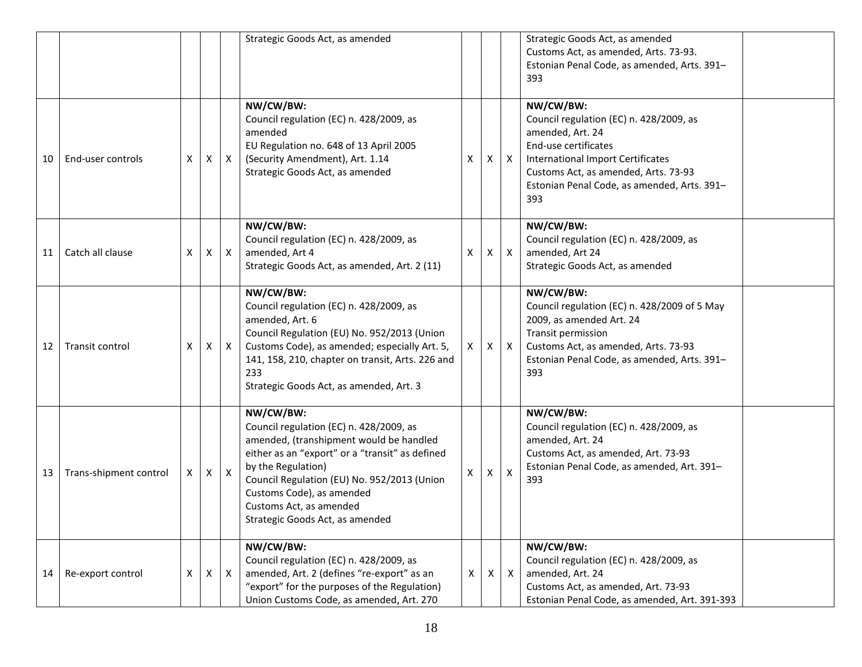|    |                        |   |              |                  | Strategic Goods Act, as amended                                                                                                                                                                                                                                                                                    |   |    |                           | Strategic Goods Act, as amended<br>Customs Act, as amended, Arts. 73-93.<br>Estonian Penal Code, as amended, Arts. 391-<br>393                                                                                                             |  |
|----|------------------------|---|--------------|------------------|--------------------------------------------------------------------------------------------------------------------------------------------------------------------------------------------------------------------------------------------------------------------------------------------------------------------|---|----|---------------------------|--------------------------------------------------------------------------------------------------------------------------------------------------------------------------------------------------------------------------------------------|--|
| 10 | End-user controls      | Χ | $\mathsf{x}$ | X                | NW/CW/BW:<br>Council regulation (EC) n. 428/2009, as<br>amended<br>EU Regulation no. 648 of 13 April 2005<br>(Security Amendment), Art. 1.14<br>Strategic Goods Act, as amended                                                                                                                                    | X | X  | $\mathsf{X}$              | NW/CW/BW:<br>Council regulation (EC) n. 428/2009, as<br>amended, Art. 24<br>End-use certificates<br><b>International Import Certificates</b><br>Customs Act, as amended, Arts. 73-93<br>Estonian Penal Code, as amended, Arts. 391-<br>393 |  |
| 11 | Catch all clause       | X | X            | $\boldsymbol{X}$ | NW/CW/BW:<br>Council regulation (EC) n. 428/2009, as<br>amended, Art 4<br>Strategic Goods Act, as amended, Art. 2 (11)                                                                                                                                                                                             | X | X. | $\mathsf{X}$              | NW/CW/BW:<br>Council regulation (EC) n. 428/2009, as<br>amended, Art 24<br>Strategic Goods Act, as amended                                                                                                                                 |  |
| 12 | Transit control        | X | X            | X                | NW/CW/BW:<br>Council regulation (EC) n. 428/2009, as<br>amended, Art. 6<br>Council Regulation (EU) No. 952/2013 (Union<br>Customs Code), as amended; especially Art. 5,<br>141, 158, 210, chapter on transit, Arts. 226 and<br>233<br>Strategic Goods Act, as amended, Art. 3                                      | X | X. | $\mathsf{X}$              | NW/CW/BW:<br>Council regulation (EC) n. 428/2009 of 5 May<br>2009, as amended Art. 24<br>Transit permission<br>Customs Act, as amended, Arts. 73-93<br>Estonian Penal Code, as amended, Arts. 391-<br>393                                  |  |
| 13 | Trans-shipment control | X | $\mathsf{x}$ | $\mathsf{X}$     | NW/CW/BW:<br>Council regulation (EC) n. 428/2009, as<br>amended, (transhipment would be handled<br>either as an "export" or a "transit" as defined<br>by the Regulation)<br>Council Regulation (EU) No. 952/2013 (Union<br>Customs Code), as amended<br>Customs Act, as amended<br>Strategic Goods Act, as amended | X | X  | $\boldsymbol{\mathsf{X}}$ | NW/CW/BW:<br>Council regulation (EC) n. 428/2009, as<br>amended, Art. 24<br>Customs Act, as amended, Art. 73-93<br>Estonian Penal Code, as amended, Art. 391-<br>393                                                                       |  |
| 14 | Re-export control      | X | X            | $\mathsf{X}$     | NW/CW/BW:<br>Council regulation (EC) n. 428/2009, as<br>amended, Art. 2 (defines "re-export" as an<br>"export" for the purposes of the Regulation)<br>Union Customs Code, as amended, Art. 270                                                                                                                     | X | X  | $\mathsf{X}$              | NW/CW/BW:<br>Council regulation (EC) n. 428/2009, as<br>amended, Art. 24<br>Customs Act, as amended, Art. 73-93<br>Estonian Penal Code, as amended, Art. 391-393                                                                           |  |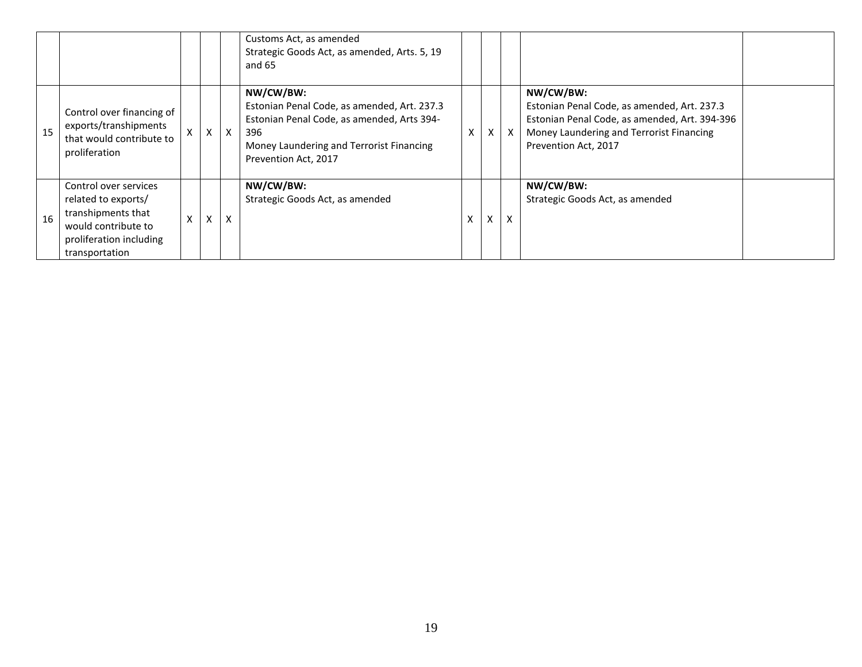|    |                                                                                                                                        |   |              |              | Customs Act, as amended<br>Strategic Goods Act, as amended, Arts. 5, 19<br>and 65                                                                                                 |                   |             |                           |                                                                                                                                                                               |  |
|----|----------------------------------------------------------------------------------------------------------------------------------------|---|--------------|--------------|-----------------------------------------------------------------------------------------------------------------------------------------------------------------------------------|-------------------|-------------|---------------------------|-------------------------------------------------------------------------------------------------------------------------------------------------------------------------------|--|
| 15 | Control over financing of<br>exports/transhipments<br>that would contribute to<br>proliferation                                        | X | $\mathsf{X}$ | $\mathsf{X}$ | NW/CW/BW:<br>Estonian Penal Code, as amended, Art. 237.3<br>Estonian Penal Code, as amended, Arts 394-<br>396<br>Money Laundering and Terrorist Financing<br>Prevention Act, 2017 | X                 | X           | $\boldsymbol{\mathsf{X}}$ | NW/CW/BW:<br>Estonian Penal Code, as amended, Art. 237.3<br>Estonian Penal Code, as amended, Art. 394-396<br>Money Laundering and Terrorist Financing<br>Prevention Act, 2017 |  |
| 16 | Control over services<br>related to exports/<br>transhipments that<br>would contribute to<br>proliferation including<br>transportation | x | X            | X            | NW/CW/BW:<br>Strategic Goods Act, as amended                                                                                                                                      | $\checkmark$<br>^ | v<br>$\sim$ | x                         | NW/CW/BW:<br>Strategic Goods Act, as amended                                                                                                                                  |  |